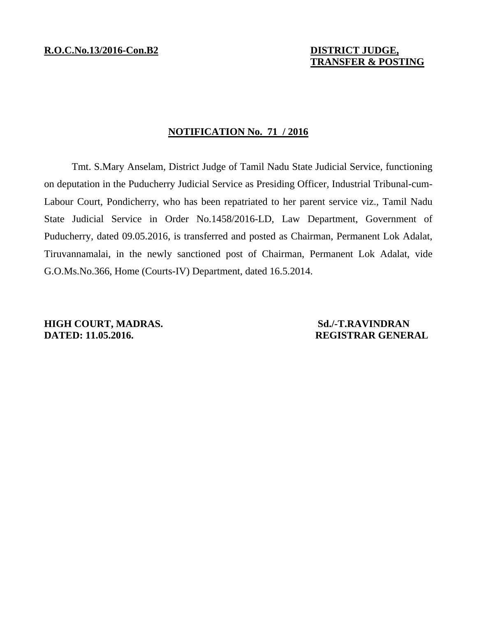# **TRANSFER & POSTING**

### **NOTIFICATION No. 71 / 2016**

 Tmt. S.Mary Anselam, District Judge of Tamil Nadu State Judicial Service, functioning on deputation in the Puducherry Judicial Service as Presiding Officer, Industrial Tribunal-cum-Labour Court, Pondicherry, who has been repatriated to her parent service viz., Tamil Nadu State Judicial Service in Order No.1458/2016-LD, Law Department, Government of Puducherry, dated 09.05.2016, is transferred and posted as Chairman, Permanent Lok Adalat, Tiruvannamalai, in the newly sanctioned post of Chairman, Permanent Lok Adalat, vide G.O.Ms.No.366, Home (Courts-IV) Department, dated 16.5.2014.

**HIGH COURT, MADRAS.** Sd./-T.RAVINDRAN **DATED: 11.05.2016.** REGISTRAR GENERAL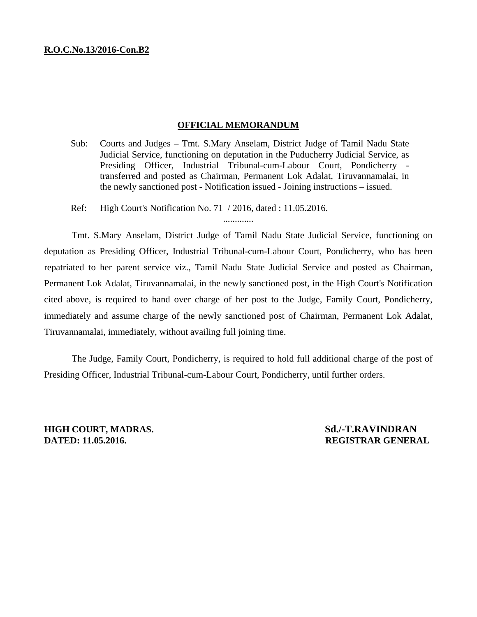### **OFFICIAL MEMORANDUM**

- Sub: Courts and Judges Tmt. S.Mary Anselam, District Judge of Tamil Nadu State Judicial Service, functioning on deputation in the Puducherry Judicial Service, as Presiding Officer, Industrial Tribunal-cum-Labour Court, Pondicherry transferred and posted as Chairman, Permanent Lok Adalat, Tiruvannamalai, in the newly sanctioned post - Notification issued - Joining instructions – issued.
- Ref: High Court's Notification No. 71 / 2016, dated : 11.05.2016.

.............

 Tmt. S.Mary Anselam, District Judge of Tamil Nadu State Judicial Service, functioning on deputation as Presiding Officer, Industrial Tribunal-cum-Labour Court, Pondicherry, who has been repatriated to her parent service viz., Tamil Nadu State Judicial Service and posted as Chairman, Permanent Lok Adalat, Tiruvannamalai, in the newly sanctioned post, in the High Court's Notification cited above, is required to hand over charge of her post to the Judge, Family Court, Pondicherry, immediately and assume charge of the newly sanctioned post of Chairman, Permanent Lok Adalat, Tiruvannamalai, immediately, without availing full joining time.

 The Judge, Family Court, Pondicherry, is required to hold full additional charge of the post of Presiding Officer, Industrial Tribunal-cum-Labour Court, Pondicherry, until further orders.

**HIGH COURT, MADRAS.** Sd./-T.RAVINDRAN **DATED: 11.05.2016. REGISTRAR GENERAL**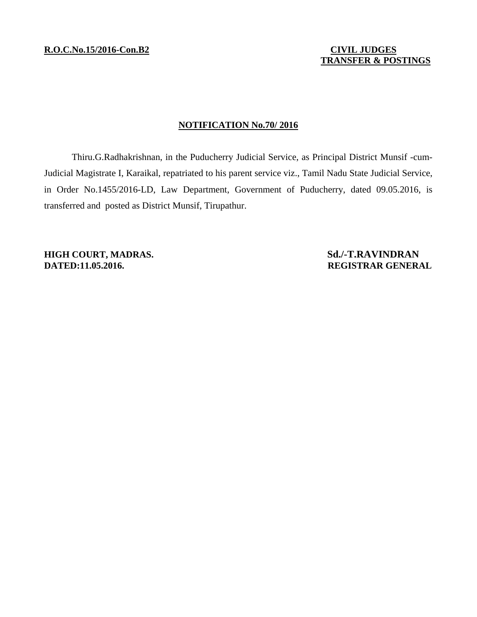# **NOTIFICATION No.70/ 2016**

 Thiru.G.Radhakrishnan, in the Puducherry Judicial Service, as Principal District Munsif -cum-Judicial Magistrate I, Karaikal, repatriated to his parent service viz., Tamil Nadu State Judicial Service, in Order No.1455/2016-LD, Law Department, Government of Puducherry, dated 09.05.2016, is transferred and posted as District Munsif, Tirupathur.

**DATED:11.05.2016. REGISTRAR GENERAL** 

**HIGH COURT, MADRAS.** Sd./-T.RAVINDRAN